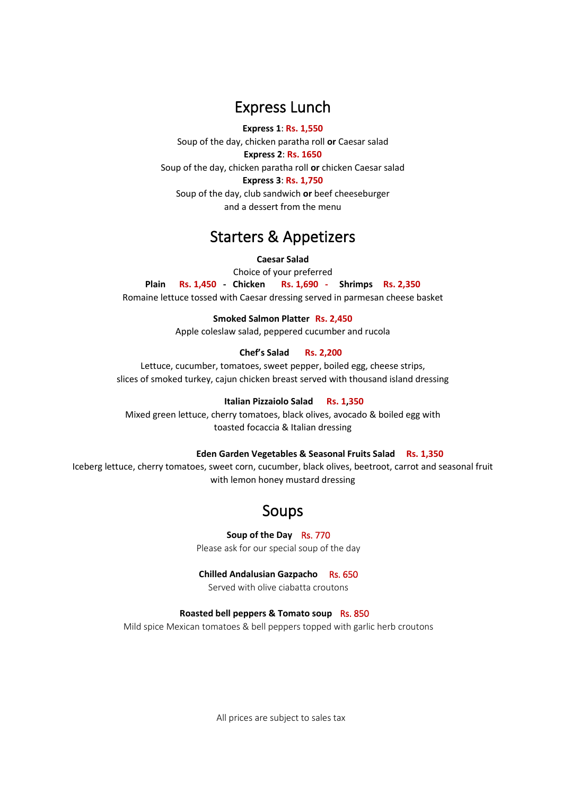# Express Lunch

**Express 1**: **Rs. 1,550** Soup of the day, chicken paratha roll **or** Caesar salad **Express 2**: **Rs. 1650** Soup of the day, chicken paratha roll **or** chicken Caesar salad **Express 3**: **Rs. 1,750** Soup of the day, club sandwich **or** beef cheeseburger and a dessert from the menu

# Starters & Appetizers

### **Caesar Salad**

Choice of your preferred<br>Rs. 1,450 - Chicken Rs. 1,690 -**Plain Rs. 1,450 - Chicken Rs. 1,690 - Shrimps Rs. 2,350** Romaine lettuce tossed with Caesar dressing served in parmesan cheese basket

**Smoked Salmon Platter Rs. 2,450**

Apple coleslaw salad, peppered cucumber and rucola

## **Chef's Salad Rs. 2,200**

Lettuce, cucumber, tomatoes, sweet pepper, boiled egg, cheese strips, slices of smoked turkey, cajun chicken breast served with thousand island dressing

### **Italian Pizzaiolo Salad Rs. 1,350**

Mixed green lettuce, cherry tomatoes, black olives, avocado & boiled egg with toasted focaccia & Italian dressing

### **Eden Garden Vegetables & Seasonal Fruits Salad Rs. 1,350**

Iceberg lettuce, cherry tomatoes, sweet corn, cucumber, black olives, beetroot, carrot and seasonal fruit with lemon honey mustard dressing

# Soups

**Soup of the Day** Rs. 770

Please ask for our special soup of the day

### **Chilled Andalusian Gazpacho** Rs. 650

Served with olive ciabatta croutons

### **Roasted bell peppers & Tomato soup** Rs. 850

Mild spice Mexican tomatoes & bell peppers topped with garlic herb croutons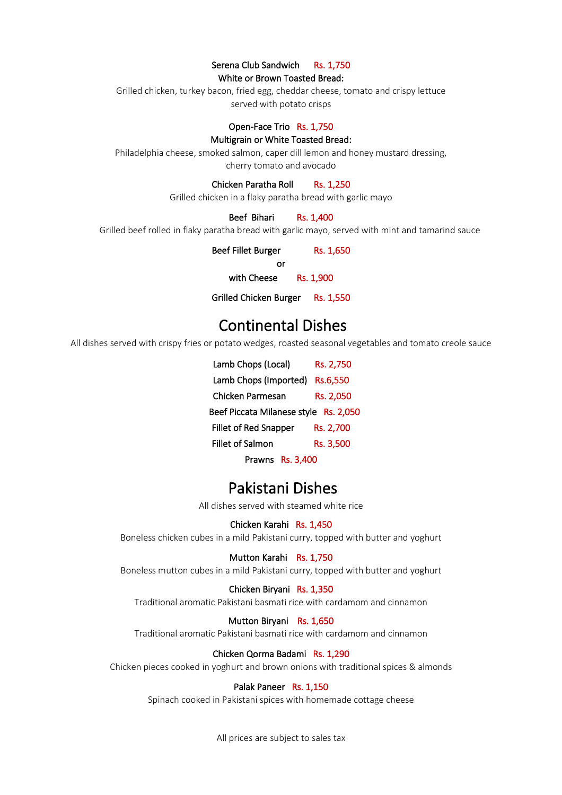## Serena Club Sandwich Rs. 1,750

White or Brown Toasted Bread:

Grilled chicken, turkey bacon, fried egg, cheddar cheese, tomato and crispy lettuce served with potato crisps

### Open-Face Trio Rs. 1,750

#### Multigrain or White Toasted Bread:

Philadelphia cheese, smoked salmon, caper dill lemon and honey mustard dressing, cherry tomato and avocado

Chicken Paratha Roll Rs. 1,250

Grilled chicken in a flaky paratha bread with garlic mayo

#### Beef Bihari Rs. 1,400

Grilled beef rolled in flaky paratha bread with garlic mayo, served with mint and tamarind sauce

| <b>Beef Fillet Burger</b> | Rs. 1,650 |
|---------------------------|-----------|
| or                        |           |
| with Cheese               | Rs. 1,900 |
|                           |           |

Grilled Chicken Burger Rs. 1,550

# Continental Dishes

All dishes served with crispy fries or potato wedges, roasted seasonal vegetables and tomato creole sauce

| Lamb Chops (Local)                       | Rs. 2,750 |  |
|------------------------------------------|-----------|--|
| Lamb Chops (Imported)                    | Rs.6,550  |  |
| Chicken Parmesan                         | Rs. 2,050 |  |
| Beef Piccata Milanese style<br>Rs. 2.050 |           |  |
| <b>Fillet of Red Snapper</b>             | Rs. 2,700 |  |
| <b>Fillet of Salmon</b>                  | Rs. 3,500 |  |
| Prawns Rs. 3,400                         |           |  |

# Pakistani Dishes

All dishes served with steamed white rice

#### Chicken Karahi Rs. 1,450

Boneless chicken cubes in a mild Pakistani curry, topped with butter and yoghurt

### Mutton Karahi Rs. 1,750

Boneless mutton cubes in a mild Pakistani curry, topped with butter and yoghurt

#### Chicken Biryani Rs. 1,350

Traditional aromatic Pakistani basmati rice with cardamom and cinnamon

#### Mutton Biryani Rs. 1,650

Traditional aromatic Pakistani basmati rice with cardamom and cinnamon

#### Chicken Qorma Badami Rs. 1,290

Chicken pieces cooked in yoghurt and brown onions with traditional spices & almonds

## Palak Paneer Rs. 1,150

Spinach cooked in Pakistani spices with homemade cottage cheese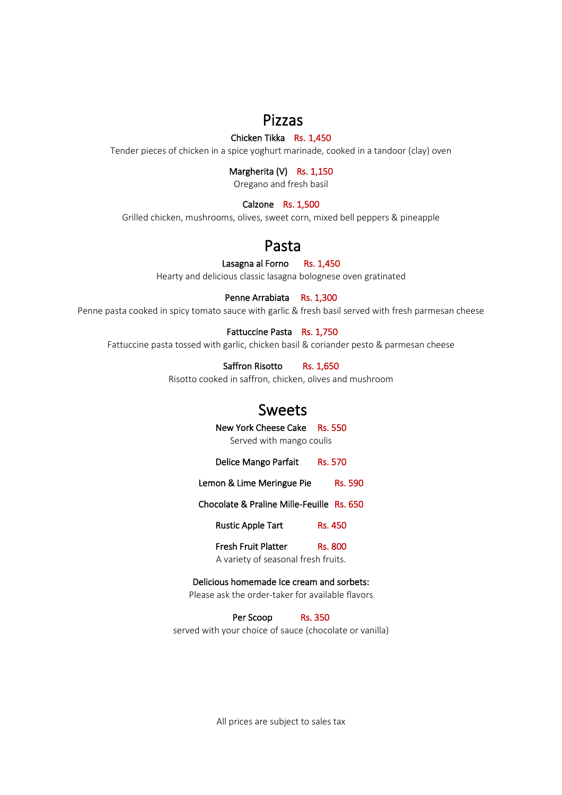# Pizzas

# Chicken Tikka Rs. 1,450

Tender pieces of chicken in a spice yoghurt marinade, cooked in a tandoor (clay) oven

# Margherita (V) Rs. 1,150

Oregano and fresh basil

# Calzone Rs. 1,500

Grilled chicken, mushrooms, olives, sweet corn, mixed bell peppers & pineapple

# Pasta

# Lasagna al Forno Rs. 1,450

Hearty and delicious classic lasagna bolognese oven gratinated

# Penne Arrabiata Rs. 1,300

Penne pasta cooked in spicy tomato sauce with garlic & fresh basil served with fresh parmesan cheese

# Fattuccine Pasta Rs. 1,750

Fattuccine pasta tossed with garlic, chicken basil & coriander pesto & parmesan cheese

Saffron Risotto Rs. 1,650

Risotto cooked in saffron, chicken, olives and mushroom

# Sweets

New York Cheese Cake Rs. 550 Served with mango coulis

Delice Mango Parfait Rs. 570

Lemon & Lime Meringue Pie Rs. 590

Chocolate & Praline Mille-Feuille Rs. 650

Rustic Apple Tart Rs. 450

Fresh Fruit Platter Rs. 800

A variety of seasonal fresh fruits.

# Delicious homemade Ice cream and sorbets:

Please ask the order-taker for available flavors

Per Scoop Rs. 350

served with your choice of sauce (chocolate or vanilla)